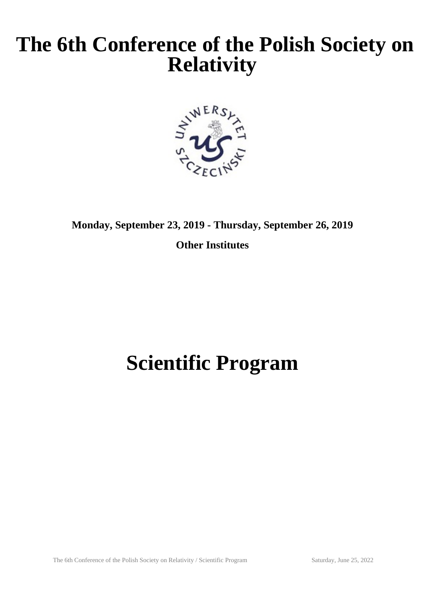## **The 6th Conference of the Polish Society on Relativity**



**Monday, September 23, 2019 - Thursday, September 26, 2019**

**Other Institutes**

# **Scientific Program**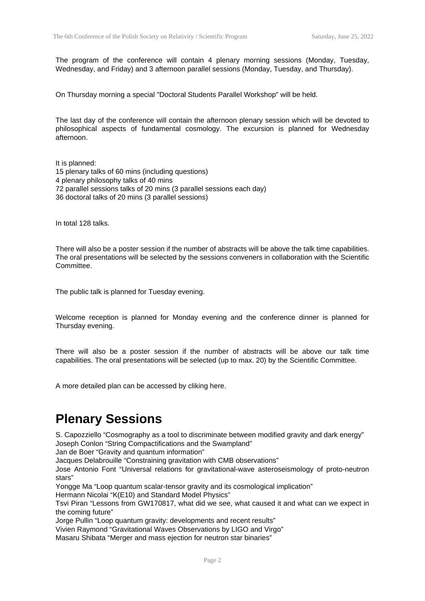The program of the conference will contain 4 plenary morning sessions (Monday, Tuesday, Wednesday, and Friday) and 3 afternoon parallel sessions (Monday, Tuesday, and Thursday).

On Thursday morning a special "Doctoral Students Parallel Workshop" will be held.

The last day of the conference will contain the afternoon plenary session which will be devoted to philosophical aspects of fundamental cosmology. The excursion is planned for Wednesday afternoon.

It is planned: 15 plenary talks of 60 mins (including questions) 4 plenary philosophy talks of 40 mins 72 parallel sessions talks of 20 mins (3 parallel sessions each day) 36 doctoral talks of 20 mins (3 parallel sessions)

In total 128 talks.

There will also be a poster session if the number of abstracts will be above the talk time capabilities. The oral presentations will be selected by the sessions conveners in collaboration with the Scientific Committee.

The public talk is planned for Tuesday evening.

Welcome reception is planned for Monday evening and the conference dinner is planned for Thursday evening.

There will also be a poster session if the number of abstracts will be above our talk time capabilities. The oral presentations will be selected (up to max. 20) by the Scientific Committee.

A more detailed plan can be accessed by cliking here.

#### **Plenary Sessions**

S. Capozziello "Cosmography as a tool to discriminate between modified gravity and dark energy" Joseph Conlon "String Compactifications and the Swampland"

Jan de Boer "Gravity and quantum information"

Jacques Delabrouille "Constraining gravitation with CMB observations"

Jose Antonio Font "Universal relations for gravitational-wave asteroseismology of proto-neutron stars"

Yongge Ma "Loop quantum scalar-tensor gravity and its cosmological implication"

Hermann Nicolai "K(E10) and Standard Model Physics"

Tsvi Piran "Lessons from GW170817, what did we see, what caused it and what can we expect in the coming future"

Jorge Pullin "Loop quantum gravity: developments and recent results"

Vivien Raymond "Gravitational Waves Observations by LIGO and Virgo"

Masaru Shibata "Merger and mass ejection for neutron star binaries"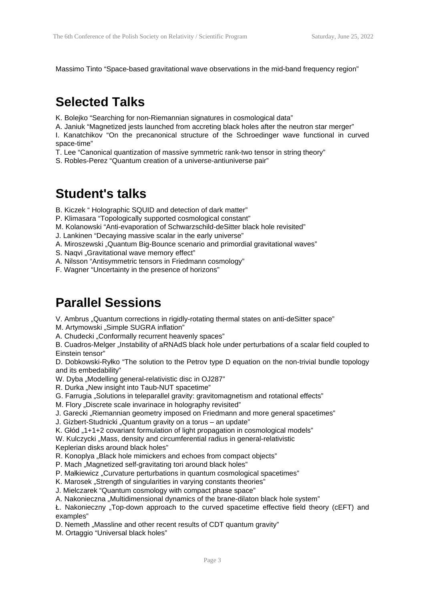Massimo Tinto "Space-based gravitational wave observations in the mid-band frequency region"

#### **Selected Talks**

K. Bolejko "Searching for non-Riemannian signatures in cosmological data"

A. Janiuk "Magnetized jests launched from accreting black holes after the neutron star merger"

I. Kanatchikov "On the precanonical structure of the Schroedinger wave functional in curved space-time"

- T. Lee "Canonical quantization of massive symmetric rank-two tensor in string theory"
- S. Robles-Perez "Quantum creation of a universe-antiuniverse pair"

#### **Student's talks**

B. Kiczek " Holographic SQUID and detection of dark matter"

- P. Klimasara "Topologically supported cosmological constant"
- M. Kolanowski "Anti-evaporation of Schwarzschild-deSitter black hole revisited"

J. Lankinen "Decaying massive scalar in the early universe"

- A. Miroszewski "Quantum Big-Bounce scenario and primordial gravitational waves"
- S. Naqvi "Gravitational wave memory effect"
- A. Nilsson "Antisymmetric tensors in Friedmann cosmology"
- F. Wagner "Uncertainty in the presence of horizons"

### **Parallel Sessions**

V. Ambrus "Quantum corrections in rigidly-rotating thermal states on anti-deSitter space"

M. Artymowski "Simple SUGRA inflation"

A. Chudecki "Conformally recurrent heavenly spaces"

B. Cuadros-Melger "Instability of aRNAdS black hole under perturbations of a scalar field coupled to Einstein tensor"

D. Dobkowski-Ryłko "The solution to the Petrov type D equation on the non-trivial bundle topology and its embedability"

W. Dyba "Modelling general-relativistic disc in OJ287"

- R. Durka "New insight into Taub-NUT spacetime"
- G. Farrugia "Solutions in teleparallel gravity: gravitomagnetism and rotational effects"
- M. Flory "Discrete scale invarinace in holography revisited"
- J. Garecki "Riemannian geometry imposed on Friedmann and more general spacetimes"

J. Gizbert-Studnicki "Quantum gravity on a torus – an update"

K. Głód  $.1+1+2$  covariant formulation of light propagation in cosmological models"

W. Kulczycki "Mass, density and circumferential radius in general-relativistic

Keplerian disks around black holes"

R. Konoplya "Black hole mimickers and echoes from compact objects"

- P. Mach "Magnetized self-gravitating tori around black holes"
- P. Małkiewicz "Curvature perturbations in quantum cosmological spacetimes"
- K. Marosek "Strength of singularities in varying constants theories"
- J. Mielczarek "Quantum cosmology with compact phase space"

A. Nakonieczna "Multidimensional dynamics of the brane-dilaton black hole system"

Ł. Nakonieczny "Top-down approach to the curved spacetime effective field theory (cEFT) and examples"

D. Nemeth "Massline and other recent results of CDT quantum gravity"

M. Ortaggio "Universal black holes"